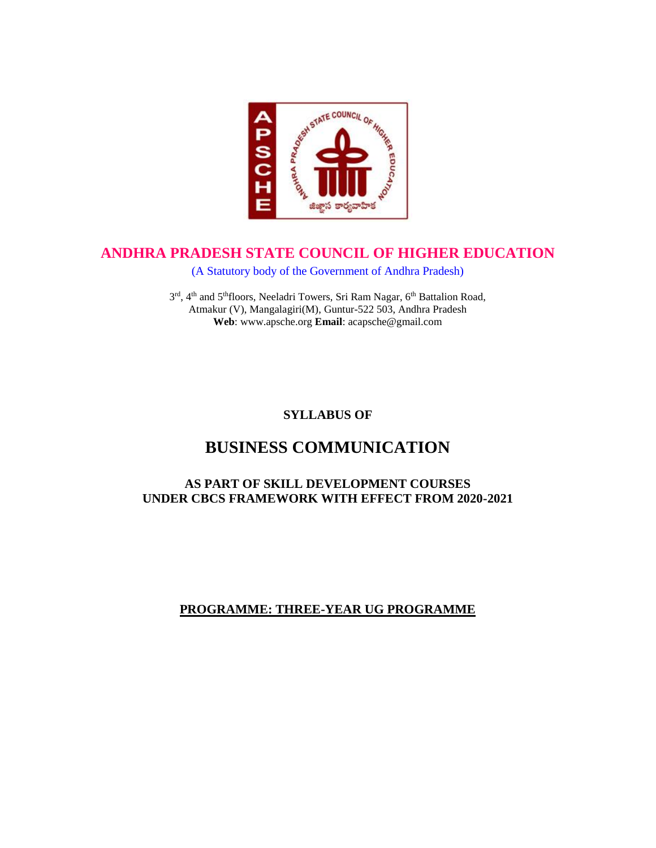

# **ANDHRA PRADESH STATE COUNCIL OF HIGHER EDUCATION**

(A Statutory body of the Government of Andhra Pradesh)

3rd, 4<sup>th</sup> and 5<sup>th</sup>floors, Neeladri Towers, Sri Ram Nagar, 6<sup>th</sup> Battalion Road, Atmakur (V), Mangalagiri(M), Guntur-522 503, Andhra Pradesh **Web**: www.apsche.org **Email**: acapsche@gmail.com

# **SYLLABUS OF**

# **BUSINESS COMMUNICATION**

## **AS PART OF SKILL DEVELOPMENT COURSES UNDER CBCS FRAMEWORK WITH EFFECT FROM 2020-2021**

# **PROGRAMME: THREE-YEAR UG PROGRAMME**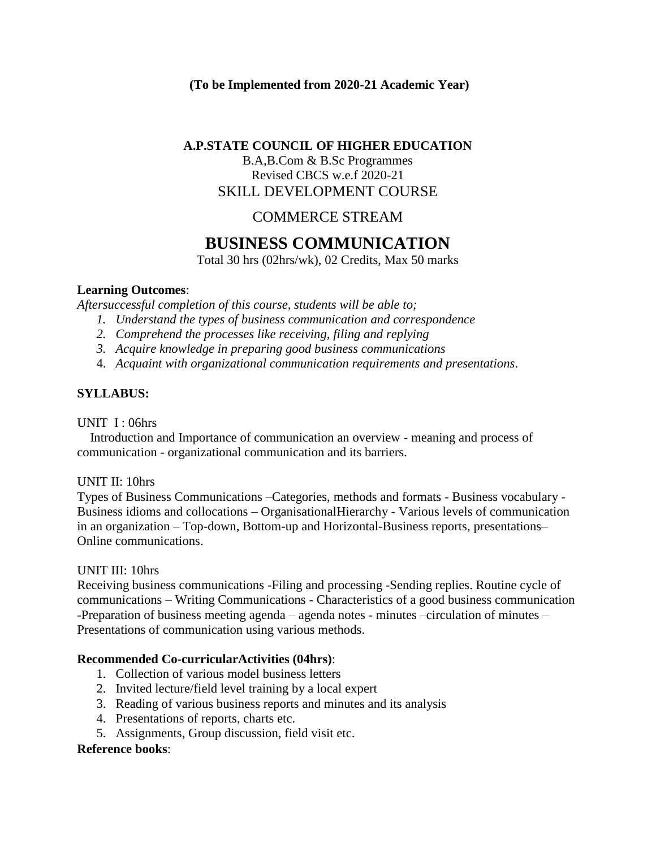### **(To be Implemented from 2020-21 Academic Year)**

### **A.P.STATE COUNCIL OF HIGHER EDUCATION**

### B.A,B.Com & B.Sc Programmes Revised CBCS w.e.f 2020-21 SKILL DEVELOPMENT COURSE

# COMMERCE STREAM

# **BUSINESS COMMUNICATION**

Total 30 hrs (02hrs/wk), 02 Credits, Max 50 marks

#### **Learning Outcomes**:

*Aftersuccessful completion of this course, students will be able to;*

- *1. Understand the types of business communication and correspondence*
- *2. Comprehend the processes like receiving, filing and replying*
- *3. Acquire knowledge in preparing good business communications*
- 4. *Acquaint with organizational communication requirements and presentations*.

#### **SYLLABUS:**

#### UNIT I: 06hrs

 Introduction and Importance of communication an overview - meaning and process of communication - organizational communication and its barriers.

#### UNIT II: 10hrs

Types of Business Communications –Categories, methods and formats - Business vocabulary - Business idioms and collocations – OrganisationalHierarchy - Various levels of communication in an organization – Top-down, Bottom-up and Horizontal-Business reports, presentations– Online communications.

#### UNIT III: 10hrs

Receiving business communications -Filing and processing -Sending replies. Routine cycle of communications – Writing Communications - Characteristics of a good business communication -Preparation of business meeting agenda – agenda notes - minutes –circulation of minutes – Presentations of communication using various methods.

#### **Recommended Co-curricularActivities (04hrs)**:

- 1. Collection of various model business letters
- 2. Invited lecture/field level training by a local expert
- 3. Reading of various business reports and minutes and its analysis
- 4. Presentations of reports, charts etc.
- 5. Assignments, Group discussion, field visit etc.

#### **Reference books**: